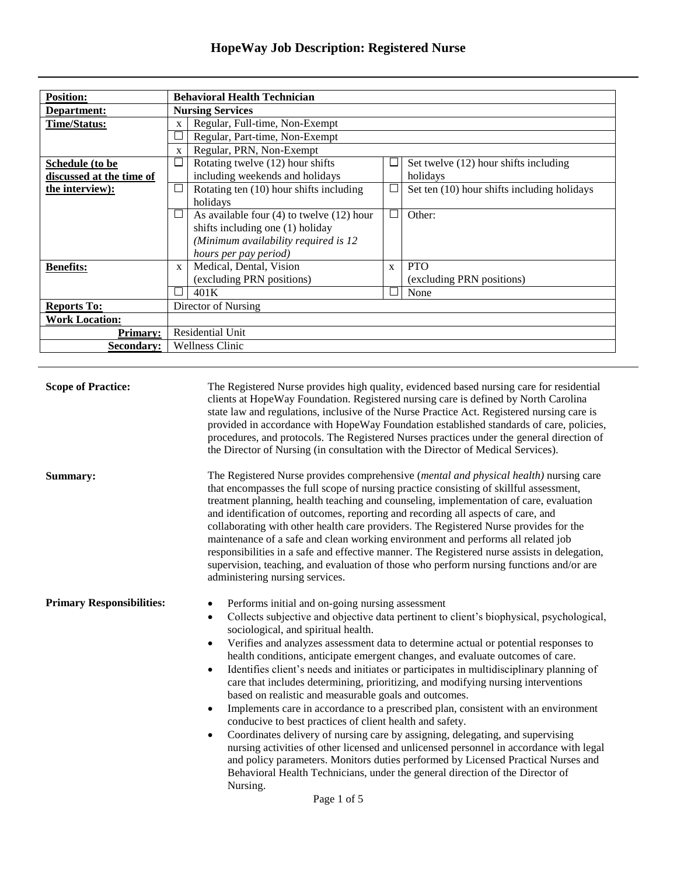| <b>Position:</b>         |              | <b>Behavioral Health Technician</b>           |                          |                                             |  |
|--------------------------|--------------|-----------------------------------------------|--------------------------|---------------------------------------------|--|
| Department:              |              | <b>Nursing Services</b>                       |                          |                                             |  |
| <b>Time/Status:</b>      | X            | Regular, Full-time, Non-Exempt                |                          |                                             |  |
|                          |              | Regular, Part-time, Non-Exempt                |                          |                                             |  |
|                          | $\mathbf{x}$ | Regular, PRN, Non-Exempt                      |                          |                                             |  |
| Schedule (to be          | ப            | Rotating twelve (12) hour shifts              |                          | Set twelve (12) hour shifts including       |  |
| discussed at the time of |              | including weekends and holidays               |                          | holidays                                    |  |
| the interview):          | $\Box$       | Rotating ten (10) hour shifts including       | └                        | Set ten (10) hour shifts including holidays |  |
|                          |              | holidays                                      |                          |                                             |  |
|                          | ப            | As available four $(4)$ to twelve $(12)$ hour | $\overline{\phantom{a}}$ | Other:                                      |  |
|                          |              | shifts including one (1) holiday              |                          |                                             |  |
|                          |              | (Minimum availability required is 12          |                          |                                             |  |
|                          |              | hours per pay period)                         |                          |                                             |  |
| <b>Benefits:</b>         | $\mathbf{x}$ | Medical, Dental, Vision                       | $\mathbf{x}$             | <b>PTO</b>                                  |  |
|                          |              | (excluding PRN positions)                     |                          | (excluding PRN positions)                   |  |
|                          |              | 401K                                          |                          | None                                        |  |
| <b>Reports To:</b>       |              | Director of Nursing                           |                          |                                             |  |
| <b>Work Location:</b>    |              |                                               |                          |                                             |  |
| <b>Primary:</b>          |              | <b>Residential Unit</b>                       |                          |                                             |  |
| Secondary:               |              | <b>Wellness Clinic</b>                        |                          |                                             |  |

| <b>Scope of Practice:</b>        | The Registered Nurse provides high quality, evidenced based nursing care for residential<br>clients at HopeWay Foundation. Registered nursing care is defined by North Carolina<br>state law and regulations, inclusive of the Nurse Practice Act. Registered nursing care is<br>provided in accordance with HopeWay Foundation established standards of care, policies,<br>procedures, and protocols. The Registered Nurses practices under the general direction of<br>the Director of Nursing (in consultation with the Director of Medical Services).                                                                                                                                                                                                                                                                                                                                                                                                                                                                                                                                                                                                                                                   |
|----------------------------------|-------------------------------------------------------------------------------------------------------------------------------------------------------------------------------------------------------------------------------------------------------------------------------------------------------------------------------------------------------------------------------------------------------------------------------------------------------------------------------------------------------------------------------------------------------------------------------------------------------------------------------------------------------------------------------------------------------------------------------------------------------------------------------------------------------------------------------------------------------------------------------------------------------------------------------------------------------------------------------------------------------------------------------------------------------------------------------------------------------------------------------------------------------------------------------------------------------------|
| Summary:                         | The Registered Nurse provides comprehensive (mental and physical health) nursing care<br>that encompasses the full scope of nursing practice consisting of skillful assessment,<br>treatment planning, health teaching and counseling, implementation of care, evaluation<br>and identification of outcomes, reporting and recording all aspects of care, and<br>collaborating with other health care providers. The Registered Nurse provides for the<br>maintenance of a safe and clean working environment and performs all related job<br>responsibilities in a safe and effective manner. The Registered nurse assists in delegation,<br>supervision, teaching, and evaluation of those who perform nursing functions and/or are<br>administering nursing services.                                                                                                                                                                                                                                                                                                                                                                                                                                    |
| <b>Primary Responsibilities:</b> | Performs initial and on-going nursing assessment<br>$\bullet$<br>Collects subjective and objective data pertinent to client's biophysical, psychological,<br>$\bullet$<br>sociological, and spiritual health.<br>Verifies and analyzes assessment data to determine actual or potential responses to<br>$\bullet$<br>health conditions, anticipate emergent changes, and evaluate outcomes of care.<br>Identifies client's needs and initiates or participates in multidisciplinary planning of<br>$\bullet$<br>care that includes determining, prioritizing, and modifying nursing interventions<br>based on realistic and measurable goals and outcomes.<br>Implements care in accordance to a prescribed plan, consistent with an environment<br>$\bullet$<br>conducive to best practices of client health and safety.<br>Coordinates delivery of nursing care by assigning, delegating, and supervising<br>٠<br>nursing activities of other licensed and unlicensed personnel in accordance with legal<br>and policy parameters. Monitors duties performed by Licensed Practical Nurses and<br>Behavioral Health Technicians, under the general direction of the Director of<br>Nursing.<br>Page 1 of 5 |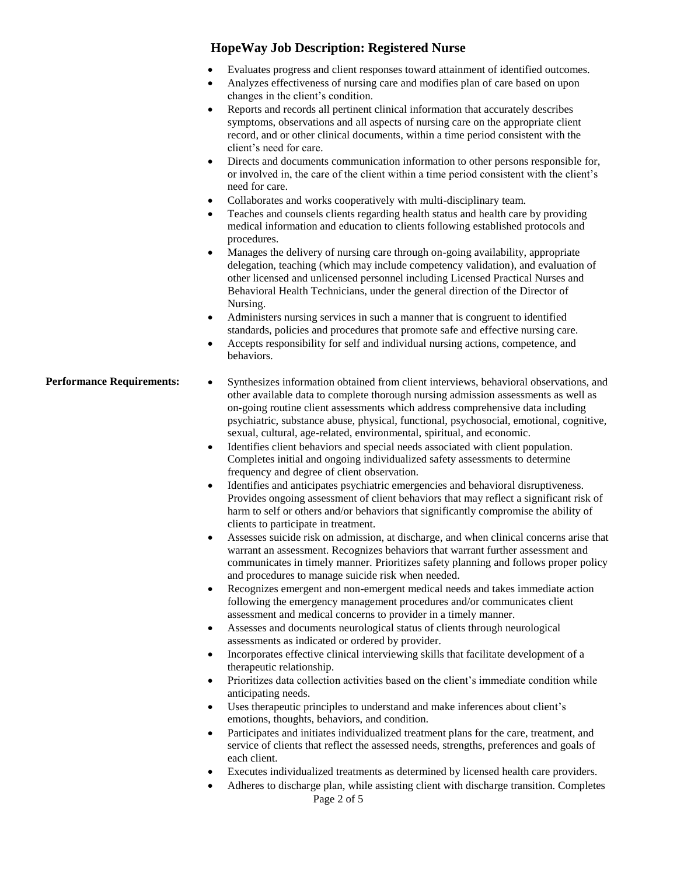- Evaluates progress and client responses toward attainment of identified outcomes.
- Analyzes effectiveness of nursing care and modifies plan of care based on upon changes in the client's condition.
- Reports and records all pertinent clinical information that accurately describes symptoms, observations and all aspects of nursing care on the appropriate client record, and or other clinical documents, within a time period consistent with the client's need for care.
- Directs and documents communication information to other persons responsible for, or involved in, the care of the client within a time period consistent with the client's need for care.
- Collaborates and works cooperatively with multi-disciplinary team.
- Teaches and counsels clients regarding health status and health care by providing medical information and education to clients following established protocols and procedures.
- Manages the delivery of nursing care through on-going availability, appropriate delegation, teaching (which may include competency validation), and evaluation of other licensed and unlicensed personnel including Licensed Practical Nurses and Behavioral Health Technicians, under the general direction of the Director of Nursing.
- Administers nursing services in such a manner that is congruent to identified standards, policies and procedures that promote safe and effective nursing care.
- Accepts responsibility for self and individual nursing actions, competence, and behaviors.

#### **Performance Requirements:** • Synthesizes information obtained from client interviews, behavioral observations, and other available data to complete thorough nursing admission assessments as well as on-going routine client assessments which address comprehensive data including psychiatric, substance abuse, physical, functional, psychosocial, emotional, cognitive, sexual, cultural, age-related, environmental, spiritual, and economic.

- Identifies client behaviors and special needs associated with client population. Completes initial and ongoing individualized safety assessments to determine frequency and degree of client observation.
- Identifies and anticipates psychiatric emergencies and behavioral disruptiveness. Provides ongoing assessment of client behaviors that may reflect a significant risk of harm to self or others and/or behaviors that significantly compromise the ability of clients to participate in treatment.
- Assesses suicide risk on admission, at discharge, and when clinical concerns arise that warrant an assessment. Recognizes behaviors that warrant further assessment and communicates in timely manner. Prioritizes safety planning and follows proper policy and procedures to manage suicide risk when needed.
- Recognizes emergent and non-emergent medical needs and takes immediate action following the emergency management procedures and/or communicates client assessment and medical concerns to provider in a timely manner.
- Assesses and documents neurological status of clients through neurological assessments as indicated or ordered by provider.
- Incorporates effective clinical interviewing skills that facilitate development of a therapeutic relationship.
- Prioritizes data collection activities based on the client's immediate condition while anticipating needs.
- Uses therapeutic principles to understand and make inferences about client's emotions, thoughts, behaviors, and condition.
- Participates and initiates individualized treatment plans for the care, treatment, and service of clients that reflect the assessed needs, strengths, preferences and goals of each client.
- Executes individualized treatments as determined by licensed health care providers.
- Adheres to discharge plan, while assisting client with discharge transition. Completes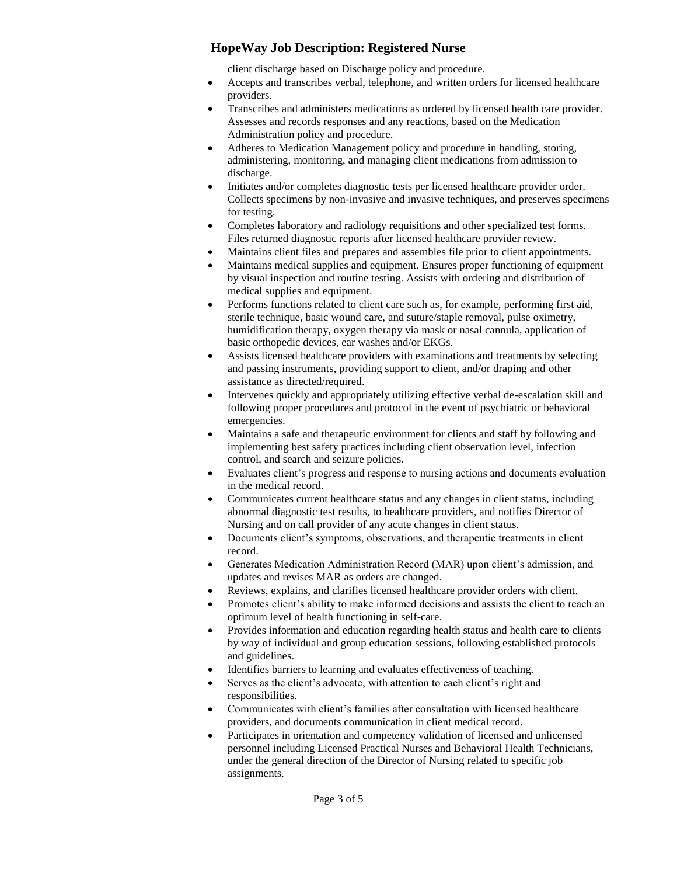client discharge based on Discharge policy and procedure.

- Accepts and transcribes verbal, telephone, and written orders for licensed healthcare providers.
- Transcribes and administers medications as ordered by licensed health care provider. Assesses and records responses and any reactions, based on the Medication Administration policy and procedure.
- Adheres to Medication Management policy and procedure in handling, storing, administering, monitoring, and managing client medications from admission to discharge.
- Initiates and/or completes diagnostic tests per licensed healthcare provider order. Collects specimens by non-invasive and invasive techniques, and preserves specimens for testing.
- Completes laboratory and radiology requisitions and other specialized test forms. Files returned diagnostic reports after licensed healthcare provider review.
- Maintains client files and prepares and assembles file prior to client appointments.
- Maintains medical supplies and equipment. Ensures proper functioning of equipment by visual inspection and routine testing. Assists with ordering and distribution of medical supplies and equipment.
- Performs functions related to client care such as, for example, performing first aid, sterile technique, basic wound care, and suture/staple removal, pulse oximetry, humidification therapy, oxygen therapy via mask or nasal cannula, application of basic orthopedic devices, ear washes and/or EKGs.
- Assists licensed healthcare providers with examinations and treatments by selecting and passing instruments, providing support to client, and/or draping and other assistance as directed/required.
- Intervenes quickly and appropriately utilizing effective verbal de-escalation skill and following proper procedures and protocol in the event of psychiatric or behavioral emergencies.
- Maintains a safe and therapeutic environment for clients and staff by following and implementing best safety practices including client observation level, infection control, and search and seizure policies.
- Evaluates client's progress and response to nursing actions and documents evaluation in the medical record.
- Communicates current healthcare status and any changes in client status, including abnormal diagnostic test results, to healthcare providers, and notifies Director of Nursing and on call provider of any acute changes in client status.
- Documents client's symptoms, observations, and therapeutic treatments in client record.
- Generates Medication Administration Record (MAR) upon client's admission, and updates and revises MAR as orders are changed.
- Reviews, explains, and clarifies licensed healthcare provider orders with client.
- Promotes client's ability to make informed decisions and assists the client to reach an optimum level of health functioning in self-care.
- Provides information and education regarding health status and health care to clients by way of individual and group education sessions, following established protocols and guidelines.
- Identifies barriers to learning and evaluates effectiveness of teaching.
- Serves as the client's advocate, with attention to each client's right and responsibilities.
- Communicates with client's families after consultation with licensed healthcare providers, and documents communication in client medical record.
- Participates in orientation and competency validation of licensed and unlicensed personnel including Licensed Practical Nurses and Behavioral Health Technicians, under the general direction of the Director of Nursing related to specific job assignments.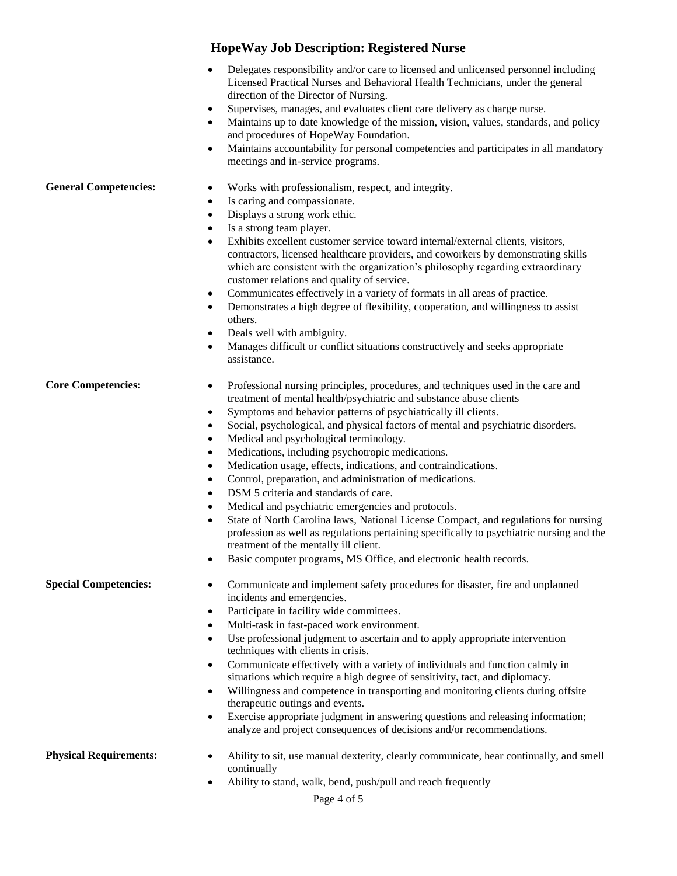- Delegates responsibility and/or care to licensed and unlicensed personnel including Licensed Practical Nurses and Behavioral Health Technicians, under the general direction of the Director of Nursing.
- Supervises, manages, and evaluates client care delivery as charge nurse.
- Maintains up to date knowledge of the mission, vision, values, standards, and policy and procedures of HopeWay Foundation.
- Maintains accountability for personal competencies and participates in all mandatory meetings and in-service programs.

#### General Competencies:  $\bullet$  Works with professionalism, respect, and integrity.

- Is caring and compassionate.
- Displays a strong work ethic.
- Is a strong team player.
- Exhibits excellent customer service toward internal/external clients, visitors, contractors, licensed healthcare providers, and coworkers by demonstrating skills which are consistent with the organization's philosophy regarding extraordinary customer relations and quality of service.
- Communicates effectively in a variety of formats in all areas of practice.
- Demonstrates a high degree of flexibility, cooperation, and willingness to assist others.
- Deals well with ambiguity.
- Manages difficult or conflict situations constructively and seeks appropriate assistance.

#### **Core Competencies:** • Professional nursing principles, procedures, and techniques used in the care and

- treatment of mental health/psychiatric and substance abuse clients
- Symptoms and behavior patterns of psychiatrically ill clients.
- Social, psychological, and physical factors of mental and psychiatric disorders.
- Medical and psychological terminology.
- Medications, including psychotropic medications.
- Medication usage, effects, indications, and contraindications.
- Control, preparation, and administration of medications.
- DSM 5 criteria and standards of care.
- Medical and psychiatric emergencies and protocols.
- State of North Carolina laws, National License Compact, and regulations for nursing profession as well as regulations pertaining specifically to psychiatric nursing and the treatment of the mentally ill client.
- Basic computer programs, MS Office, and electronic health records.

- **Special Competencies:** Communicate and implement safety procedures for disaster, fire and unplanned incidents and emergencies.
	- Participate in facility wide committees.
	- Multi-task in fast-paced work environment.
	- Use professional judgment to ascertain and to apply appropriate intervention techniques with clients in crisis.
	- Communicate effectively with a variety of individuals and function calmly in situations which require a high degree of sensitivity, tact, and diplomacy.
	- Willingness and competence in transporting and monitoring clients during offsite therapeutic outings and events.
	- Exercise appropriate judgment in answering questions and releasing information; analyze and project consequences of decisions and/or recommendations.
- **Physical Requirements:**  $\bullet$  Ability to sit, use manual dexterity, clearly communicate, hear continually, and smell continually
	- Ability to stand, walk, bend, push/pull and reach frequently